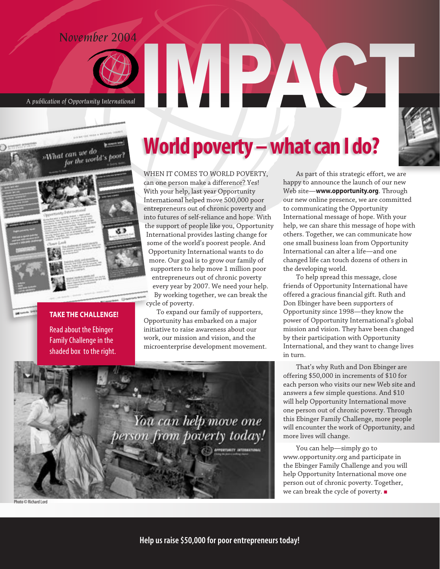### *November 2004*



*A publication of Opportunity International*



#### **TAKE THE CHALLENGE!**

Read about the Ebinger Family Challenge in the shaded box to the right.

## World poverty – what can I do?

WHEN IT COMES TO WORLD POVERTY,

can one person make a difference? Yes! With your help, last year Opportunity International helped move 500,000 poor entrepreneurs out of chronic poverty and into futures of self-reliance and hope. With the support of people like you, Opportunity International provides lasting change for some of the world's poorest people. And Opportunity International wants to do more. Our goal is to grow our family of supporters to help move 1 million poor entrepreneurs out of chronic poverty every year by 2007. We need your help. By working together, we can break the cycle of poverty.

To expand our family of supporters, Opportunity has embarked on a major initiative to raise awareness about our work, our mission and vision, and the microenterprise development movement.

You can help move one

berson from poverty today!

As part of this strategic effort, we are happy to announce the launch of our new Web site—**www.opportunity.org**. Through our new online presence, we are committed to communicating the Opportunity International message of hope. With your help, we can share this message of hope with others. Together, we can communicate how one small business loan from Opportunity International can alter a life—and one changed life can touch dozens of others in the developing world.

To help spread this message, close friends of Opportunity International have offered a gracious financial gift. Ruth and Don Ebinger have been supporters of Opportunity since 1998—they know the power of Opportunity International's global mission and vision. They have been changed by their participation with Opportunity International, and they want to change lives in turn.

That's why Ruth and Don Ebinger are offering \$50,000 in increments of \$10 for each person who visits our new Web site and answers a few simple questions. And \$10 will help Opportunity International move one person out of chronic poverty. Through this Ebinger Family Challenge, more people will encounter the work of Opportunity, and more lives will change.

You can help—simply go to www.opportunity.org and participate in the Ebinger Family Challenge and you will help Opportunity International move one person out of chronic poverty. Together, we can break the cycle of poverty.

Photo © Richard Lord

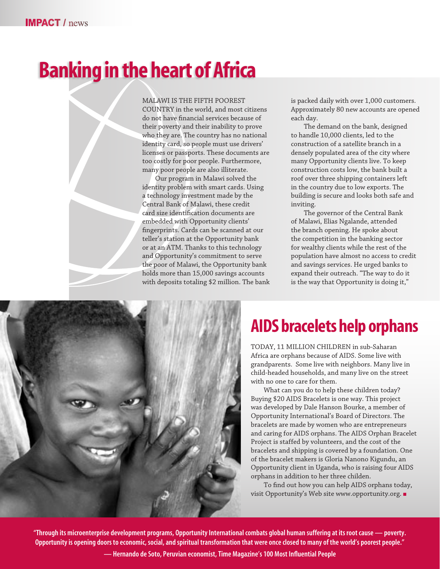# Banking in the heart of Africa

MALAWI IS THE FIFTH POOREST

COUNTRY in the world, and most citizens do not have financial services because of their poverty and their inability to prove who they are. The country has no national identity card, so people must use drivers' licenses or passports. These documents are too costly for poor people. Furthermore, many poor people are also illiterate.

Our program in Malawi solved the identity problem with smart cards. Using a technology investment made by the Central Bank of Malawi, these credit card size identification documents are embedded with Opportunity clients' fingerprints. Cards can be scanned at our teller's station at the Opportunity bank or at an ATM. Thanks to this technology and Opportunity's commitment to serve the poor of Malawi, the Opportunity bank holds more than 15,000 savings accounts with deposits totaling \$2 million. The bank

is packed daily with over 1,000 customers. Approximately 80 new accounts are opened each day.

The demand on the bank, designed to handle 10,000 clients, led to the construction of a satellite branch in a densely populated area of the city where many Opportunity clients live. To keep construction costs low, the bank built a roof over three shipping containers left in the country due to low exports. The building is secure and looks both safe and inviting.

The governor of the Central Bank of Malawi, Elias Ngalande, attended the branch opening. He spoke about the competition in the banking sector for wealthy clients while the rest of the population have almost no access to credit and savings services. He urged banks to expand their outreach. "The way to do it is the way that Opportunity is doing it,"



### AIDS bracelets help orphans

TODAY, 11 MILLION CHILDREN in sub-Saharan Africa are orphans because of AIDS. Some live with grandparents. Some live with neighbors. Many live in child-headed households, and many live on the street with no one to care for them.

What can you do to help these children today? Buying \$20 AIDS Bracelets is one way. This project was developed by Dale Hanson Bourke, a member of Opportunity International's Board of Directors. The bracelets are made by women who are entrepreneurs and caring for AIDS orphans. The AIDS Orphan Bracelet Project is staffed by volunteers, and the cost of the bracelets and shipping is covered by a foundation. One of the bracelet makers is Gloria Nanono Kigundu, an Opportunity client in Uganda, who is raising four AIDS orphans in addition to her three childen.

To find out how you can help AIDS orphans today, visit Opportunity's Web site www.opportunity.org.

"Through its microenterprise development programs, Opportunity International combats global human suffering at its root cause — poverty. Opportunity is opening doors to economic, social, and spiritual transformation that were once closed to many of the world's poorest people."

— Hernando de Soto, Peruvian economist, Time Magazine's 100 Most Influential People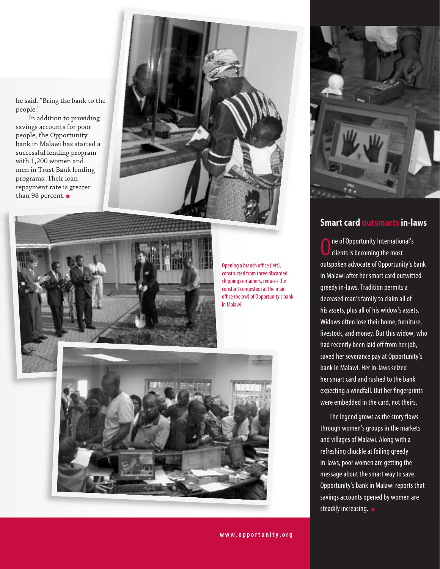he said. "Bring the bank to the people."

In addition to providing savings accounts for poor people, the Opportunity bank in Malawi has started a successful lending program with 1,200 women and men in Trust Bank lending programs. Their loan repayment rate is greater than 98 percent.





Opening a branch office (left), constructed from three discarded shipping containers, reduces the constant congestion at the main office (below) of Opportunity's bank in Malawi.





### **Smart card outsmarts in-laws**

 $\overline{\textbf{0}}$ ne of Opportunity International's clients is becoming the most outspoken advocate of Opportunity's bank in Malawi after her smart card outwitted greedy in-laws. Tradition permits a deceased man's family to claim all of his assets, plus all of his widow's assets. Widows often lose their home, furniture, livestock, and money. But this widow, who had recently been laid off from her job, saved her severance pay at Opportunity's bank in Malawi. Her in-laws seized her smart card and rushed to the bank expecting a windfall. But her fingerprints were embedded in the card, not theirs.

 The legend grows as the story flows through women's groups in the markets and villages of Malawi. Along with a refreshing chuckle at foiling greedy in-laws, poor women are getting the message about the smart way to save. Opportunity's bank in Malawi reports that savings accounts opened by women are steadily increasing.  $\blacksquare$ 

www.opportunity.org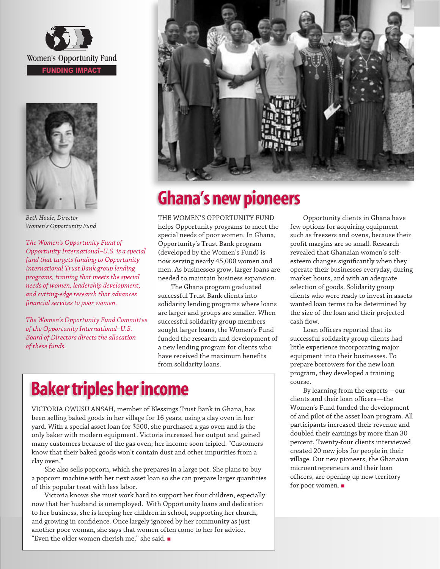



*Beth Houle, Director Women's Opportunity Fund* 

*The Women's Opportunity Fund of Opportunity International–U.S. is a special fund that targets funding to Opportunity International Trust Bank group lending programs, training that meets the special needs of women, leadership development, and cutting-edge research that advances financial services to poor women.* 

*The Women's Opportunity Fund Committee of the Opportunity International–U.S. Board of Directors directs the allocation of these funds.*



### Ghana's new pioneers

THE WOMEN'S OPPORTUNITY FUND helps Opportunity programs to meet the special needs of poor women. In Ghana, Opportunity's Trust Bank program (developed by the Women's Fund) is now serving nearly 45,000 women and men. As businesses grow, larger loans are needed to maintain business expansion.

The Ghana program graduated successful Trust Bank clients into solidarity lending programs where loans are larger and groups are smaller. When successful solidarity group members sought larger loans, the Women's Fund funded the research and development of a new lending program for clients who have received the maximum benefits from solidarity loans.

### Baker triples her income

VICTORIA OWUSU ANSAH, member of Blessings Trust Bank in Ghana, has been selling baked goods in her village for 16 years, using a clay oven in her yard. With a special asset loan for \$500, she purchased a gas oven and is the only baker with modern equipment. Victoria increased her output and gained many customers because of the gas oven; her income soon tripled. "Customers know that their baked goods won't contain dust and other impurities from a clay oven."

She also sells popcorn, which she prepares in a large pot. She plans to buy a popcorn machine with her next asset loan so she can prepare larger quantities of this popular treat with less labor.

Victoria knows she must work hard to support her four children, especially now that her husband is unemployed. With Opportunity loans and dedication to her business, she is keeping her children in school, supporting her church, and growing in confidence. Once largely ignored by her community as just another poor woman, she says that women often come to her for advice. "Even the older women cherish me," she said.

Opportunity clients in Ghana have few options for acquiring equipment such as freezers and ovens, because their profit margins are so small. Research revealed that Ghanaian women's selfesteem changes significantly when they operate their businesses everyday, during market hours, and with an adequate selection of goods. Solidarity group clients who were ready to invest in assets wanted loan terms to be determined by the size of the loan and their projected cash flow.

Loan officers reported that its successful solidarity group clients had little experience incorporating major equipment into their businesses. To prepare borrowers for the new loan program, they developed a training course.

By learning from the experts—our clients and their loan officers—the Women's Fund funded the development of and pilot of the asset loan program. All participants increased their revenue and doubled their earnings by more than 30 percent. Twenty-four clients interviewed created 20 new jobs for people in their village. Our new pioneers, the Ghanaian microentrepreneurs and their loan officers, are opening up new territory for poor women.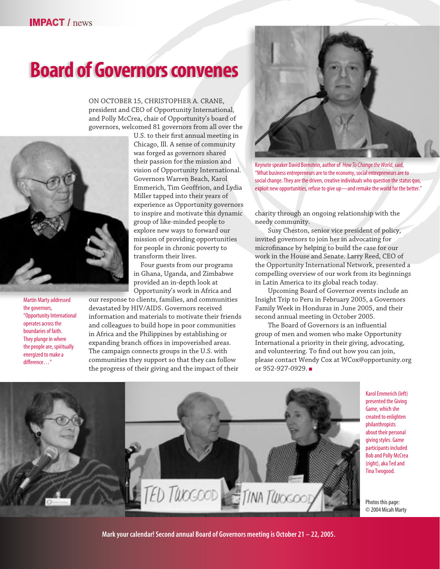## Board of Governors convenes

ON OCTOBER 15, CHRISTOPHER A. CRANE, president and CEO of Opportunity International, and Polly McCrea, chair of Opportunity's board of governors, welcomed 81 governors from all over the



Martin Marty addressed the governors, "Opportunity International operates across the boundaries of faith. They plunge in where the people are, spiritually energized to make a difference…"

U.S. to their first annual meeting in Chicago, Ill. A sense of community was forged as governors shared their passion for the mission and vision of Opportunity International. Governors Warren Beach, Karol Emmerich, Tim Geoffrion, and Lydia Miller tapped into their years of experience as Opportunity governors to inspire and motivate this dynamic group of like-minded people to explore new ways to forward our mission of providing opportunities for people in chronic poverty to transform their lives.

Four guests from our programs in Ghana, Uganda, and Zimbabwe provided an in-depth look at Opportunity's work in Africa and

our response to clients, families, and communities devastated by HIV/AIDS. Governors received information and materials to motivate their friends and colleagues to build hope in poor communities in Africa and the Philippines by establishing or expanding branch offices in impoverished areas. The campaign connects groups in the U.S. with communities they support so that they can follow the progress of their giving and the impact of their



Keynote speaker David Bornstein, author of *How To Change the World*, said, "What business entrepreneurs are to the economy, social entrepreneurs are to social change. They are the driven, creative individuals who question the status quo, exploit new opportunities, refuse to give up-and remake the world for the better."

charity through an ongoing relationship with the needy community.

Susy Cheston, senior vice president of policy, invited governors to join her in advocating for microfinance by helping to build the case for our work in the House and Senate. Larry Reed, CEO of the Opportunity International Network, presented a compelling overview of our work from its beginnings in Latin America to its global reach today.

Upcoming Board of Governor events include an Insight Trip to Peru in February 2005, a Governors Family Week in Honduras in June 2005, and their second annual meeting in October 2005.

The Board of Governors is an influential group of men and women who make Opportunity International a priority in their giving, advocating, and volunteering. To find out how you can join, please contact Wendy Cox at WCox@opportunity.org or 952-927-0929.



Karol Emmerich (left) presented the Giving Game, which she created to enlighten philanthropists about their personal giving styles. Game participants included Bob and Polly McCrea (right), aka Ted and Tina Twogood.

Photos this page: © 2004 Micah Marty

Mark your calendar! Second annual Board of Governors meeting is October 21 – 22, 2005.